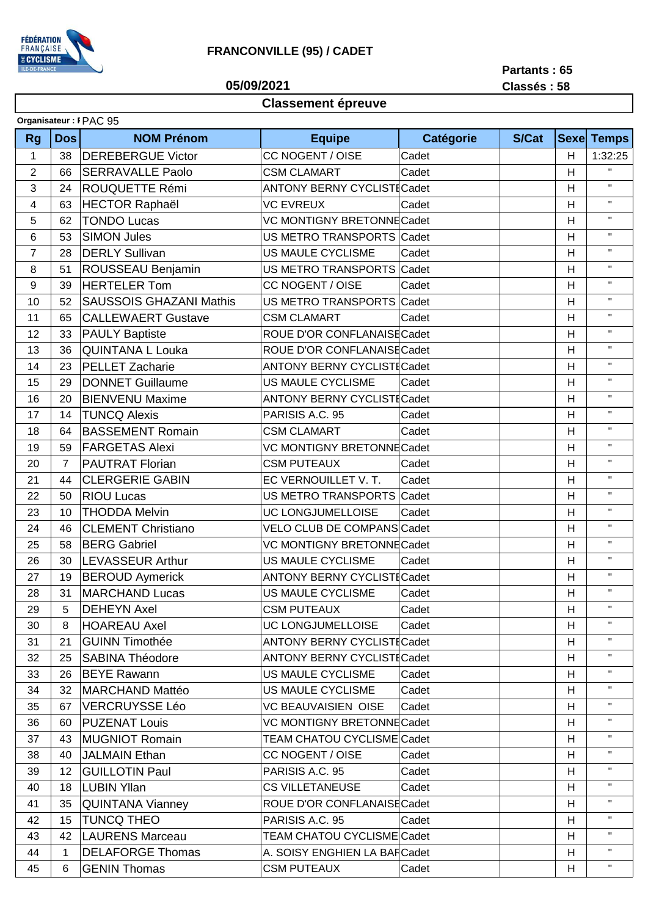

## **FRANCONVILLE (95) / CADET**

**05/09/2021**

**Partants : 65 Classés : 58**

## **Classement épreuve**

| Organisateur: I PAC 95 |                 |                                |                                   |                  |       |              |              |  |
|------------------------|-----------------|--------------------------------|-----------------------------------|------------------|-------|--------------|--------------|--|
| <b>Rg</b>              | <b>Dos</b>      | <b>NOM Prénom</b>              | <b>Equipe</b>                     | <b>Catégorie</b> | S/Cat | <b>Sexel</b> | <b>Temps</b> |  |
| $\mathbf{1}$           | 38              | <b>DEREBERGUE Victor</b>       | CC NOGENT / OISE                  | Cadet            |       | H            | 1:32:25      |  |
| $\overline{2}$         | 66              | <b>SERRAVALLE Paolo</b>        | <b>CSM CLAMART</b>                | Cadet            |       | H            | $\mathbf{H}$ |  |
| 3                      | 24              | ROUQUETTE Rémi                 | <b>ANTONY BERNY CYCLISTICadet</b> |                  |       | H            | $\mathbf H$  |  |
| 4                      | 63              | <b>HECTOR Raphaël</b>          | <b>VC EVREUX</b>                  | Cadet            |       | H            | $\mathbf H$  |  |
| 5                      | 62              | <b>TONDO Lucas</b>             | VC MONTIGNY BRETONNE Cadet        |                  |       | H            | $\mathbf H$  |  |
| 6                      | 53              | <b>SIMON Jules</b>             | US METRO TRANSPORTS Cadet         |                  |       | H            | $\mathbf H$  |  |
| $\overline{7}$         | 28              | <b>DERLY Sullivan</b>          | US MAULE CYCLISME                 | Cadet            |       | H            | $\mathbf H$  |  |
| 8                      | 51              | ROUSSEAU Benjamin              | US METRO TRANSPORTS               | Cadet            |       | H            | $\mathbf{H}$ |  |
| 9                      | 39              | <b>HERTELER Tom</b>            | CC NOGENT / OISE                  | Cadet            |       | H            | $\mathbf{H}$ |  |
| 10                     | 52              | <b>SAUSSOIS GHAZANI Mathis</b> | US METRO TRANSPORTS Cadet         |                  |       | H            | п.           |  |
| 11                     | 65              | <b>CALLEWAERT Gustave</b>      | <b>CSM CLAMART</b>                | Cadet            |       | H            | $\mathbf{H}$ |  |
| 12                     | 33              | <b>PAULY Baptiste</b>          | ROUE D'OR CONFLANAISE Cadet       |                  |       | H            | $\mathbf{H}$ |  |
| 13                     | 36              | <b>QUINTANA L Louka</b>        | ROUE D'OR CONFLANAISE Cadet       |                  |       | H            | $\mathbf{H}$ |  |
| 14                     | 23              | <b>PELLET Zacharie</b>         | <b>ANTONY BERNY CYCLISTICadet</b> |                  |       | H            | $\mathbf H$  |  |
| 15                     | 29              | <b>DONNET Guillaume</b>        | US MAULE CYCLISME                 | Cadet            |       | H            | $\mathbf{H}$ |  |
| 16                     | 20              | <b>BIENVENU Maxime</b>         | <b>ANTONY BERNY CYCLISTICadet</b> |                  |       | H            | $\mathbf H$  |  |
| 17                     | 14              | <b>TUNCQ Alexis</b>            | PARISIS A.C. 95                   | Cadet            |       | H            | $\mathbf{H}$ |  |
| 18                     | 64              | <b>BASSEMENT Romain</b>        | <b>CSM CLAMART</b>                | Cadet            |       | H            | $\mathbf H$  |  |
| 19                     | 59              | <b>FARGETAS Alexi</b>          | VC MONTIGNY BRETONNE Cadet        |                  |       | H            | $\mathbf{H}$ |  |
| 20                     | $\overline{7}$  | <b>PAUTRAT Florian</b>         | <b>CSM PUTEAUX</b>                | Cadet            |       | H            | $\mathbf{H}$ |  |
| 21                     | 44              | <b>CLERGERIE GABIN</b>         | EC VERNOUILLET V. T.              | Cadet            |       | H            | $\mathbf{H}$ |  |
| 22                     | 50              | <b>RIOU Lucas</b>              | US METRO TRANSPORTS Cadet         |                  |       | H            | $\mathbf{H}$ |  |
| 23                     | 10              | <b>THODDA Melvin</b>           | UC LONGJUMELLOISE                 | Cadet            |       | H            | $\mathbf{H}$ |  |
| 24                     | 46              | <b>CLEMENT Christiano</b>      | VELO CLUB DE COMPANS Cadet        |                  |       | H            | $\mathbf{H}$ |  |
| 25                     | 58              | <b>BERG Gabriel</b>            | VC MONTIGNY BRETONNE Cadet        |                  |       | H            | $\mathbf{H}$ |  |
| 26                     | 30              | <b>LEVASSEUR Arthur</b>        | <b>US MAULE CYCLISME</b>          | Cadet            |       | H            | $\mathbf H$  |  |
| 27                     | 19              | <b>BEROUD Aymerick</b>         | <b>ANTONY BERNY CYCLISTICadet</b> |                  |       | H            | $\mathbf{H}$ |  |
| 28                     | 31              | <b>MARCHAND Lucas</b>          | <b>US MAULE CYCLISME</b>          | Cadet            |       | H            | $\mathbf{H}$ |  |
| 29                     | 5               | <b>DEHEYN Axel</b>             | <b>CSM PUTEAUX</b>                | Cadet            |       | H            | Η.           |  |
| 30                     | 8               | <b>HOAREAU Axel</b>            | UC LONGJUMELLOISE                 | Cadet            |       | H            | $\mathbf{H}$ |  |
| 31                     | 21              | <b>GUINN Timothée</b>          | <b>ANTONY BERNY CYCLISTICadet</b> |                  |       | H            | $\mathbf H$  |  |
| 32                     | 25              | <b>SABINA Théodore</b>         | <b>ANTONY BERNY CYCLISTICadet</b> |                  |       | H            | $\mathbf H$  |  |
| 33                     | 26              | <b>BEYE Rawann</b>             | US MAULE CYCLISME                 | Cadet            |       | H            | $\mathbf H$  |  |
| 34                     | 32              | MARCHAND Mattéo                | US MAULE CYCLISME                 | Cadet            |       | H            | $\mathbf H$  |  |
| 35                     | 67              | <b>VERCRUYSSE Léo</b>          | <b>VC BEAUVAISIEN OISE</b>        | Cadet            |       | H            | п.           |  |
| 36                     | 60              | <b>PUZENAT Louis</b>           | VC MONTIGNY BRETONNE Cadet        |                  |       | H            | $\mathbf H$  |  |
| 37                     | 43              | <b>MUGNIOT Romain</b>          | TEAM CHATOU CYCLISME Cadet        |                  |       | H            | п.           |  |
| 38                     | 40              | <b>JALMAIN Ethan</b>           | CC NOGENT / OISE                  | Cadet            |       | H            | $\mathbf H$  |  |
| 39                     | 12 <sup>2</sup> | <b>GUILLOTIN Paul</b>          | PARISIS A.C. 95                   | Cadet            |       | H            | $\mathbf{H}$ |  |
| 40                     | 18              | <b>LUBIN Yllan</b>             | <b>CS VILLETANEUSE</b>            | Cadet            |       | H            | $\mathbf H$  |  |
| 41                     | 35              | <b>QUINTANA Vianney</b>        | ROUE D'OR CONFLANAISE Cadet       |                  |       | H            | $\mathbf H$  |  |
| 42                     | 15              | <b>TUNCQ THEO</b>              | PARISIS A.C. 95                   | Cadet            |       | H            | $\mathbf{H}$ |  |
| 43                     | 42              | <b>LAURENS Marceau</b>         | TEAM CHATOU CYCLISME Cadet        |                  |       | H            | $\mathbf H$  |  |
| 44                     | 1               | <b>DELAFORGE Thomas</b>        | A. SOISY ENGHIEN LA BARCadet      |                  |       | H            | $\mathbf{H}$ |  |
| 45                     | 6               | <b>GENIN Thomas</b>            | <b>CSM PUTEAUX</b>                | Cadet            |       | H            | $\mathbf{H}$ |  |